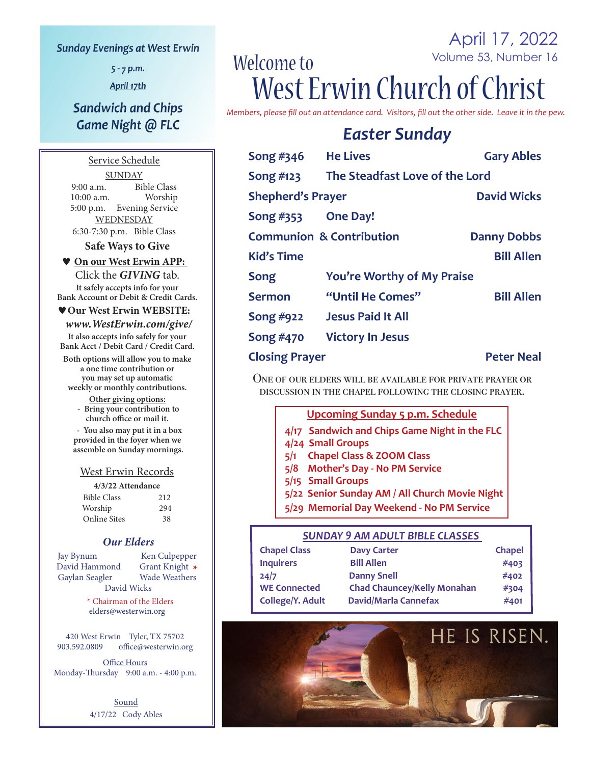#### **Sunday Evenings at West Erwin**

 $5 - 7$  p.m.

April 17th

## **Sandwich and Chips** Game Night @ FLC

Service Schedule **SUNDAY** 9:00 a.m. Bible Class<br>10:00 a.m. Worship  $10:00$  a.m. 5:00 p.m. Evening Service WEDNESDAY 6:30-7:30 p.m. Bible Class

**Safe Ways to Give**

#### **On our West Erwin APP:**

Click the *GIVING* tab. **It safely accepts info for your Bank Account or Debit & Credit Cards.**

#### **Our West Erwin WEBSITE:**

 *www.WestErwin.com/give/* **It also accepts info safely for your Bank Acct / Debit Card / Credit Card.**

**Both options will allow you to make a one time contribution or you may set up automatic weekly or monthly contributions.**

> **Other giving options: - Bring your contribution to church office or mail it.**

 **- You also may put it in a box provided in the foyer when we assemble on Sunday mornings.**

#### West Erwin Records

**4/3/22 Attendance** 

| <b>Bible Class</b>  | 212 |
|---------------------|-----|
| Worship             | 294 |
| <b>Online Sites</b> | 38  |

#### *Our Elders*

Jay Bynum Ken Culpepper<br>
David Hammond Grant Knight \* David Hammond Grant Knight **\*** Gaylan Seagler David Wicks

 \* Chairman of the Elders elders@westerwin.org

420 West Erwin Tyler, TX 75702<br>903.592.0809 office@westerwin.o office@westerwin.org

Office Hours Monday-Thursday 9:00 a.m. - 4:00 p.m.

> **Sound** 4/17/22 Cody Ables

## April 17, 2022 Volume 53, Number 16 Welcome to West Erwin Church of Christ

*Members, please fill out an attendance card. Visitors, fill out the other side. Leave it in the pew.*

# *Easter Sunday*

| Song $#346$              | <b>He Lives</b>                                           | <b>Gary Ables</b> |
|--------------------------|-----------------------------------------------------------|-------------------|
| Song #123                | The Steadfast Love of the Lord                            |                   |
| <b>Shepherd's Prayer</b> | <b>David Wicks</b>                                        |                   |
| Song #353                | <b>One Day!</b>                                           |                   |
|                          | <b>Communion &amp; Contribution</b><br><b>Danny Dobbs</b> |                   |
| <b>Kid's Time</b>        |                                                           | <b>Bill Allen</b> |
| Song                     | <b>You're Worthy of My Praise</b>                         |                   |
| <b>Sermon</b>            | "Until He Comes"                                          | <b>Bill Allen</b> |
| Song #922                | <b>Jesus Paid It All</b>                                  |                   |
| Song #470                | <b>Victory In Jesus</b>                                   |                   |
| <b>Closing Prayer</b>    |                                                           | <b>Peter Neal</b> |

One of our elders will be available for private prayer or discussion in the chapel following the closing prayer.

#### **Upcoming Sunday 5 p.m. Schedule**

- **4/17 Sandwich and Chips Game Night in the FLC**
- **4/24 Small Groups**
- **5/1 Chapel Class & ZOOM Class**
- **5/8 Mother's Day No PM Service**
- **5/15 Small Groups**
- **5/22 Senior Sunday AM / All Church Movie Night**
- **5/29 Memorial Day Weekend No PM Service**

#### *SUNDAY 9 AM ADULT BIBLE CLASSES*

| <b>Chapel Class</b> | <b>Davy Carter</b>                 | <b>Chapel</b> |
|---------------------|------------------------------------|---------------|
| <b>Inquirers</b>    | <b>Bill Allen</b>                  | #403          |
| 24/7                | <b>Danny Snell</b>                 | #402          |
| <b>WE Connected</b> | <b>Chad Chauncey/Kelly Monahan</b> | #304          |
| College/Y. Adult    | <b>David/Marla Cannefax</b>        | #401          |

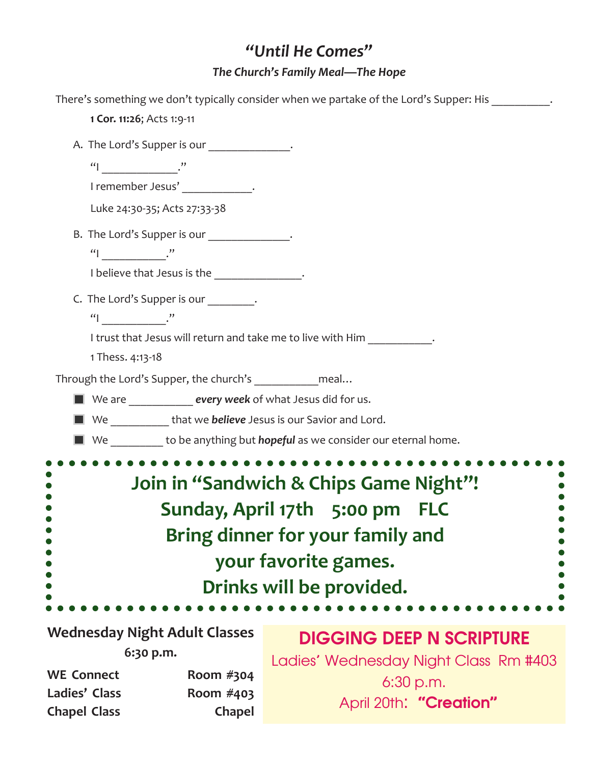# *"Until He Comes" The Church's Family Meal—The Hope*

| There's something we don't typically consider when we partake of the Lord's Supper: His                                                                          |
|------------------------------------------------------------------------------------------------------------------------------------------------------------------|
| 1 Cor. 11:26; Acts 1:9-11                                                                                                                                        |
| A. The Lord's Supper is our ______________.                                                                                                                      |
| $\begin{array}{c} \n ^{\prime\prime} \n \end{array}$ $\begin{array}{c} \n ^{\prime\prime} \n \end{array}$                                                        |
| I remember Jesus' ____________.                                                                                                                                  |
| Luke 24:30-35; Acts 27:33-38                                                                                                                                     |
| B. The Lord's Supper is our ______________.                                                                                                                      |
| $\lvert \lvert \rvert$ ."                                                                                                                                        |
| I believe that Jesus is the _______________.                                                                                                                     |
| C. The Lord's Supper is our ________.                                                                                                                            |
|                                                                                                                                                                  |
| I trust that Jesus will return and take me to live with Him ___________.                                                                                         |
| 1 Thess. 4:13-18                                                                                                                                                 |
| Through the Lord's Supper, the church's ______________meal                                                                                                       |
| ■ We are <u>_________</u> every week of what Jesus did for us.                                                                                                   |
| We _____________ that we believe Jesus is our Savior and Lord.                                                                                                   |
| We _________ to be anything but <i>hopeful</i> as we consider our eternal home.                                                                                  |
| Join in "Sandwich & Chips Game Night"!<br>Sunday, April 17th 5:00 pm FLC<br>Bring dinner for your family and<br>your favorite games.<br>Drinks will be provided. |
| Wednesday Night Adult Classes                                                                                                                                    |

**Wednesday Night Adult Classes 6:30 p.m.**

# DIGGING DEEP N SCRIPTURE

WE Connect Room #304 Ladies' Class Room #403 **Chapel Class Chapel**

Ladies' Wednesday Night Class Rm #403 6:30 p.m. April 20th: "Creation"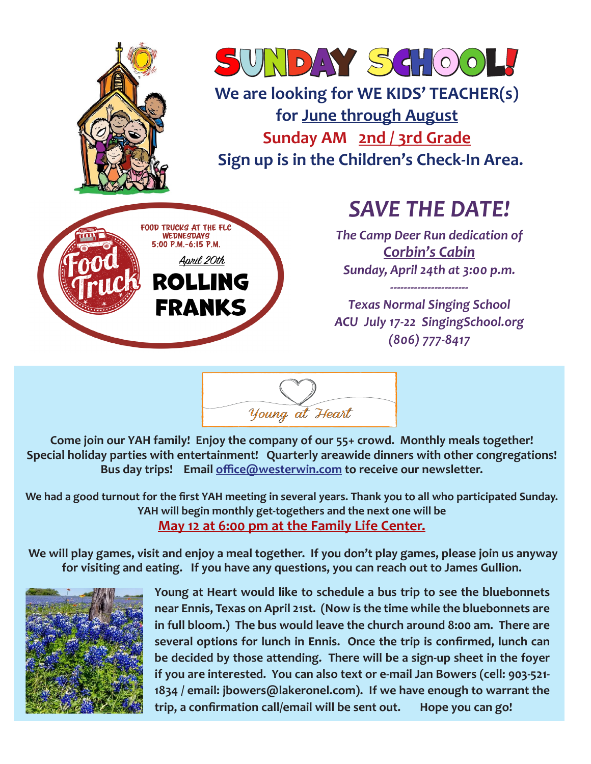



**We are looking for WE KIDS' TEACHER(s) for June through August Sunday AM 2nd / 3rd Grade Sign up is in the Children's Check-In Area.** 



# *SAVE THE DATE!*

*The Camp Deer Run dedication of Corbin's Cabin Sunday, April 24th at 3:00 p.m.* 

*Texas Normal Singing School ACU July 17-22 SingingSchool.org (806) 777-8417*

*-----------------------*

Young at Heart

**Come join our YAH family! Enjoy the company of our 55+ crowd. Monthly meals together! Special holiday parties with entertainment! Quarterly areawide dinners with other congregations! Bus day trips! Email office@westerwin.com to receive our newsletter.**

**We had a good turnout for the first YAH meeting in several years. Thank you to all who participated Sunday. YAH will begin monthly get-togethers and the next one will be May 12 at 6:00 pm at the Family Life Center.**

 **We will play games, visit and enjoy a meal together. If you don't play games, please join us anyway for visiting and eating. If you have any questions, you can reach out to James Gullion.**



**Young at Heart would like to schedule a bus trip to see the bluebonnets near Ennis, Texas on April 21st. (Now is the time while the bluebonnets are in full bloom.) The bus would leave the church around 8:00 am. There are several options for lunch in Ennis. Once the trip is confirmed, lunch can be decided by those attending. There will be a sign-up sheet in the foyer if you are interested. You can also text or e-mail Jan Bowers (cell: 903-521- 1834 / email: jbowers@lakeronel.com). If we have enough to warrant the trip, a confirmation call/email will be sent out. Hope you can go!**